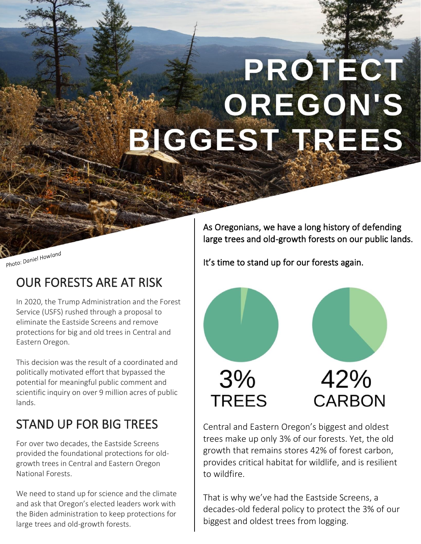# PROTECT **OREGON'S** BIGGEST TREES

Photo: Daniel Howland

## OUR FORESTS ARE AT RISK

In 2020, the Trump Administration and the Forest Service (USFS) rushed through a proposal to eliminate the Eastside Screens and remove protections for big and old trees in Central and Eastern Oregon.

This decision was the result of a coordinated and politically motivated effort that bypassed the potential for meaningful public comment and scientific inquiry on over 9 million acres of public lands.

## STAND UP FOR BIG TREES

For over two decades, the Eastside Screens provided the foundational protections for oldgrowth trees in Central and Eastern Oregon National Forests.

We need to stand up for science and the climate and ask that Oregon's elected leaders work with the Biden administration to keep protections for large trees and old-growth forests.

As Oregonians, we have a long history of defending large trees and old-growth forests on our public lands.

It's time to stand up for our forests again.



Central and Eastern Oregon's biggest and oldest trees make up only 3% of our forests. Yet, the old growth that remains stores 42% of forest carbon, provides critical habitat for wildlife, and is resilient to wildfire.

That is why we've had the Eastside Screens, a decades-old federal policy to protect the 3% of our biggest and oldest trees from logging.